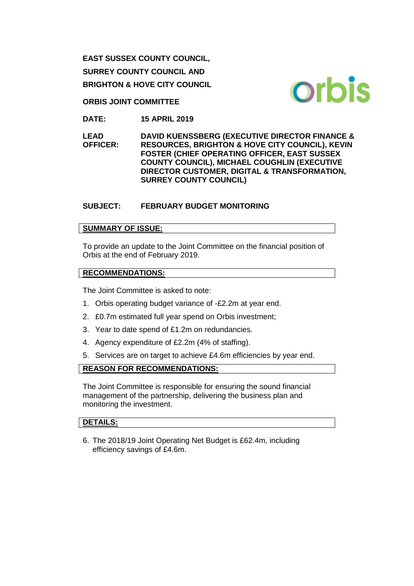**EAST SUSSEX COUNTY COUNCIL, SURREY COUNTY COUNCIL AND BRIGHTON & HOVE CITY COUNCIL**



**ORBIS JOINT COMMITTEE**

**DATE: 15 APRIL 2019**

**LEAD OFFICER: DAVID KUENSSBERG (EXECUTIVE DIRECTOR FINANCE & RESOURCES, BRIGHTON & HOVE CITY COUNCIL), KEVIN FOSTER (CHIEF OPERATING OFFICER, EAST SUSSEX COUNTY COUNCIL), MICHAEL COUGHLIN (EXECUTIVE DIRECTOR CUSTOMER, DIGITAL & TRANSFORMATION, SURREY COUNTY COUNCIL)** 

# **SUBJECT: FEBRUARY BUDGET MONITORING**

## **SUMMARY OF ISSUE:**

To provide an update to the Joint Committee on the financial position of Orbis at the end of February 2019.

### **RECOMMENDATIONS:**

The Joint Committee is asked to note:

- 1. Orbis operating budget variance of -£2.2m at year end.
- 2. £0.7m estimated full year spend on Orbis investment;
- 3. Year to date spend of £1.2m on redundancies.
- 4. Agency expenditure of £2.2m (4% of staffing).
- 5. Services are on target to achieve £4.6m efficiencies by year end.

## **REASON FOR RECOMMENDATIONS:**

The Joint Committee is responsible for ensuring the sound financial management of the partnership, delivering the business plan and monitoring the investment.

### **DETAILS:**

6. The 2018/19 Joint Operating Net Budget is £62.4m, including efficiency savings of £4.6m.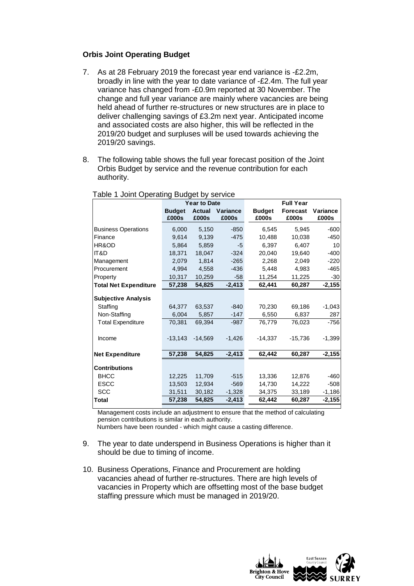### **Orbis Joint Operating Budget**

- 7. As at 28 February 2019 the forecast year end variance is -£2.2m, broadly in line with the year to date variance of -£2.4m. The full year variance has changed from -£0.9m reported at 30 November. The change and full year variance are mainly where vacancies are being held ahead of further re-structures or new structures are in place to deliver challenging savings of £3.2m next year. Anticipated income and associated costs are also higher, this will be reflected in the 2019/20 budget and surpluses will be used towards achieving the 2019/20 savings.
- 8. The following table shows the full year forecast position of the Joint Orbis Budget by service and the revenue contribution for each authority.

|                              | <b>Year to Date</b>    |                        |                   | <b>Full Year</b>       |                          |                   |  |
|------------------------------|------------------------|------------------------|-------------------|------------------------|--------------------------|-------------------|--|
|                              | <b>Budget</b><br>£000s | <b>Actual</b><br>£000s | Variance<br>£000s | <b>Budget</b><br>£000s | <b>Forecast</b><br>£000s | Variance<br>£000s |  |
| <b>Business Operations</b>   | 6,000                  | 5,150                  | $-850$            | 6,545                  | 5,945                    | $-600$            |  |
| Finance                      | 9,614                  | 9,139                  | $-475$            | 10,488                 | 10,038                   | $-450$            |  |
| HR&OD                        | 5,864                  | 5,859                  | -5                | 6,397                  | 6,407                    | 10                |  |
| IT&D                         | 18,371                 | 18,047                 | $-324$            | 20,040                 | 19,640                   | $-400$            |  |
| Management                   | 2,079                  | 1,814                  | $-265$            | 2,268                  | 2,049                    | $-220$            |  |
| Procurement                  | 4.994                  | 4.558                  | $-436$            | 5.448                  | 4.983                    | $-465$            |  |
| Property                     | 10,317                 | 10,259                 | $-58$             | 11,254                 | 11,225                   | $-30$             |  |
| <b>Total Net Expenditure</b> | 57,238                 | 54,825                 | $-2,413$          | 62,441                 | 60,287                   | $-2,155$          |  |
| <b>Subjective Analysis</b>   |                        |                        |                   |                        |                          |                   |  |
| Staffing                     | 64.377                 | 63,537                 | $-840$            | 70,230                 | 69,186                   | $-1,043$          |  |
| Non-Staffing                 | 6,004                  | 5,857                  | $-147$            | 6,550                  | 6,837                    | 287               |  |
| <b>Total Expenditure</b>     | 70,381                 | 69,394                 | $-987$            | 76,779                 | 76,023                   | $-756$            |  |
| Income                       | $-13,143$              | $-14,569$              | $-1,426$          | $-14,337$              | $-15,736$                | $-1,399$          |  |
| <b>Net Expenditure</b>       | 57,238                 | 54,825                 | $-2,413$          | 62,442                 | 60,287                   | $-2,155$          |  |
| <b>Contributions</b>         |                        |                        |                   |                        |                          |                   |  |
| <b>BHCC</b>                  | 12,225                 | 11,709                 | $-515$            | 13,336                 | 12,876                   | $-460$            |  |
| <b>ESCC</b>                  | 13,503                 | 12,934                 | $-569$            | 14,730                 | 14,222                   | $-508$            |  |
| <b>SCC</b>                   | 31,511                 | 30,182                 | $-1,328$          | 34,375                 | 33,189                   | $-1,186$          |  |
| <b>Total</b>                 | 57,238                 | 54,825                 | $-2,413$          | 62,442                 | 60,287                   | $-2,155$          |  |

Table 1 Joint Operating Budget by service

Management costs include an adjustment to ensure that the method of calculating pension contributions is similar in each authority. Numbers have been rounded - which might cause a casting difference.

- 9. The year to date underspend in Business Operations is higher than it should be due to timing of income.
- 10. Business Operations, Finance and Procurement are holding vacancies ahead of further re-structures. There are high levels of vacancies in Property which are offsetting most of the base budget staffing pressure which must be managed in 2019/20.

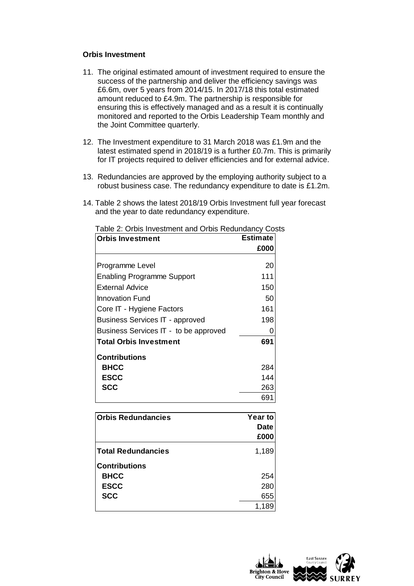### **Orbis Investment**

- 11. The original estimated amount of investment required to ensure the success of the partnership and deliver the efficiency savings was £6.6m, over 5 years from 2014/15. In 2017/18 this total estimated amount reduced to £4.9m. The partnership is responsible for ensuring this is effectively managed and as a result it is continually monitored and reported to the Orbis Leadership Team monthly and the Joint Committee quarterly.
- 12. The Investment expenditure to 31 March 2018 was £1.9m and the latest estimated spend in 2018/19 is a further £0.7m. This is primarily for IT projects required to deliver efficiencies and for external advice.
- 13. Redundancies are approved by the employing authority subject to a robust business case. The redundancy expenditure to date is £1.2m.
- 14. Table 2 shows the latest 2018/19 Orbis Investment full year forecast and the year to date redundancy expenditure.

| <b>Orbis Investment</b>                | <b>Estimate</b> |
|----------------------------------------|-----------------|
|                                        | £000            |
| Programme Level                        | 20              |
| <b>Enabling Programme Support</b>      | 111             |
| External Advice                        | 150             |
| <b>Innovation Fund</b>                 | 50              |
| Core IT - Hygiene Factors              | 161             |
| <b>Business Services IT - approved</b> | 198             |
| Business Services IT - to be approved  |                 |
| <b>Total Orbis Investment</b>          | 691             |
| Contributions                          |                 |
| <b>BHCC</b>                            | 284             |
| <b>ESCC</b>                            | 144             |
| <b>SCC</b>                             | 263             |
|                                        | 691             |

| Table 2: Orbis Investment and Orbis Redundancy Costs |  |
|------------------------------------------------------|--|
|------------------------------------------------------|--|

| <b>Orbis Redundancies</b> | <b>Year to</b> |  |  |
|---------------------------|----------------|--|--|
|                           | <b>Date</b>    |  |  |
|                           | £000           |  |  |
| <b>Total Redundancies</b> | 1,189          |  |  |
| Contributions             |                |  |  |
| <b>BHCC</b>               | 254            |  |  |
| <b>ESCC</b>               | 280            |  |  |
| <b>SCC</b>                | 655            |  |  |
|                           | 1,189          |  |  |

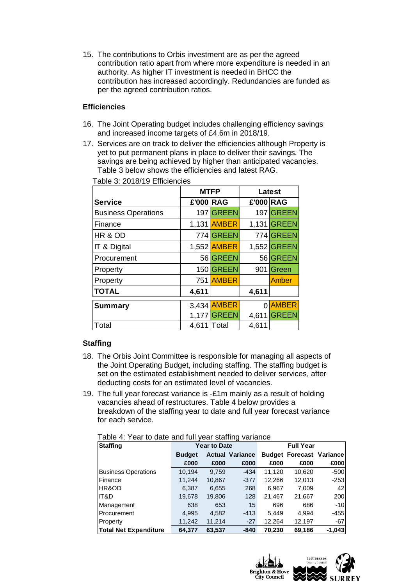15. The contributions to Orbis investment are as per the agreed contribution ratio apart from where more expenditure is needed in an authority. As higher IT investment is needed in BHCC the contribution has increased accordingly. Redundancies are funded as per the agreed contribution ratios.

### **Efficiencies**

- 16. The Joint Operating budget includes challenging efficiency savings and increased income targets of £4.6m in 2018/19.
- 17. Services are on track to deliver the efficiencies although Property is yet to put permanent plans in place to deliver their savings. The savings are being achieved by higher than anticipated vacancies. Table 3 below shows the efficiencies and latest RAG.

|                            | <b>MTFP</b> |                    | Latest    |              |
|----------------------------|-------------|--------------------|-----------|--------------|
| <b>Service</b>             | £'000 RAG   |                    | £'000 RAG |              |
| <b>Business Operations</b> |             | 197 GREEN          |           | 197 GREEN    |
| Finance                    |             | 1,131 <b>AMBER</b> |           | 1,131 GREEN  |
| HR & OD                    |             | 774 GREEN          |           | 774 GREEN    |
| IT & Digital               |             | 1,552 AMBER        |           | 1,552 GREEN  |
| Procurement                |             | 56 GREEN           |           | 56 GREEN     |
| Property                   |             | 150 GREEN          | 901       | Green        |
| Property                   |             | 751 AMBER          |           | <b>Amber</b> |
| <b>TOTAL</b>               | 4,611       |                    | 4,611     |              |
| <b>Summary</b>             |             | 3,434 AMBER        | 0         | <b>AMBER</b> |
|                            | 1,177       | <b>GREEN</b>       | 4,611     | <b>GREEN</b> |
| Total                      | 4,611       | Total              | 4,611     |              |

Table 3: 2018/19 Efficiencies

## **Staffing**

- 18. The Orbis Joint Committee is responsible for managing all aspects of the Joint Operating Budget, including staffing. The staffing budget is set on the estimated establishment needed to deliver services, after deducting costs for an estimated level of vacancies.
- 19. The full year forecast variance is -£1m mainly as a result of holding vacancies ahead of restructures. Table 4 below provides a breakdown of the staffing year to date and full year forecast variance for each service.

| Table 4: Year to date and full year staffing variance |  |
|-------------------------------------------------------|--|
|-------------------------------------------------------|--|

| <b>Staffing</b>              | <b>Year to Date</b> |        |                        | <b>Full Year</b> |                                 |          |
|------------------------------|---------------------|--------|------------------------|------------------|---------------------------------|----------|
|                              | <b>Budget</b>       |        | <b>Actual Variance</b> |                  | <b>Budget Forecast Variance</b> |          |
|                              | £000                | £000   | £000                   | £000             | £000                            | £000     |
| <b>Business Operations</b>   | 10,194              | 9.759  | $-434$                 | 11,120           | 10.620                          | $-500$   |
| Finance                      | 11,244              | 10,867 | $-377$                 | 12,266           | 12,013                          | $-253$   |
| IHR&OD                       | 6,387               | 6,655  | 268                    | 6,967            | 7.009                           | 421      |
| IT&D                         | 19,678              | 19,806 | 128                    | 21,467           | 21,667                          | 200      |
| Management                   | 638                 | 653    | 15                     | 696              | 686                             | $-10$    |
| Procurement                  | 4,995               | 4,582  | $-413$                 | 5,449            | 4.994                           | $-455$   |
| Property                     | 11,242              | 11,214 | $-27$                  | 12,264           | 12,197                          | $-67$    |
| <b>Total Net Expenditure</b> | 64,377              | 63,537 | -840                   | 70,230           | 69,186                          | $-1,043$ |